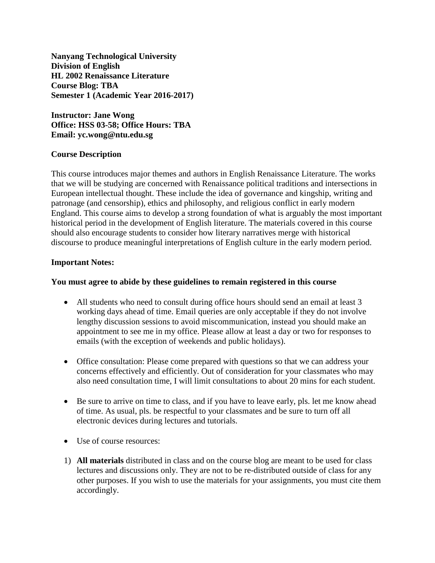**Nanyang Technological University Division of English HL 2002 Renaissance Literature Course Blog: TBA Semester 1 (Academic Year 2016-2017)**

**Instructor: Jane Wong Office: HSS 03-58; Office Hours: TBA Email: yc.wong@ntu.edu.sg**

### **Course Description**

This course introduces major themes and authors in English Renaissance Literature. The works that we will be studying are concerned with Renaissance political traditions and intersections in European intellectual thought. These include the idea of governance and kingship, writing and patronage (and censorship), ethics and philosophy, and religious conflict in early modern England. This course aims to develop a strong foundation of what is arguably the most important historical period in the development of English literature. The materials covered in this course should also encourage students to consider how literary narratives merge with historical discourse to produce meaningful interpretations of English culture in the early modern period.

#### **Important Notes:**

#### **You must agree to abide by these guidelines to remain registered in this course**

- All students who need to consult during office hours should send an email at least 3 working days ahead of time. Email queries are only acceptable if they do not involve lengthy discussion sessions to avoid miscommunication, instead you should make an appointment to see me in my office. Please allow at least a day or two for responses to emails (with the exception of weekends and public holidays).
- Office consultation: Please come prepared with questions so that we can address your concerns effectively and efficiently. Out of consideration for your classmates who may also need consultation time, I will limit consultations to about 20 mins for each student.
- Be sure to arrive on time to class, and if you have to leave early, pls. let me know ahead of time. As usual, pls. be respectful to your classmates and be sure to turn off all electronic devices during lectures and tutorials.
- Use of course resources:
- 1) **All materials** distributed in class and on the course blog are meant to be used for class lectures and discussions only. They are not to be re-distributed outside of class for any other purposes. If you wish to use the materials for your assignments, you must cite them accordingly.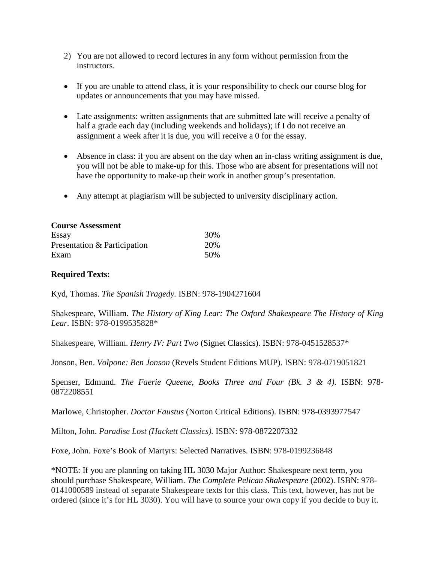- 2) You are not allowed to record lectures in any form without permission from the instructors.
- If you are unable to attend class, it is your responsibility to check our course blog for updates or announcements that you may have missed.
- Late assignments: written assignments that are submitted late will receive a penalty of half a grade each day (including weekends and holidays); if I do not receive an assignment a week after it is due, you will receive a 0 for the essay.
- Absence in class: if you are absent on the day when an in-class writing assignment is due, you will not be able to make-up for this. Those who are absent for presentations will not have the opportunity to make-up their work in another group's presentation.
- Any attempt at plagiarism will be subjected to university disciplinary action.

| <b>Course Assessment</b>     |     |  |
|------------------------------|-----|--|
| Essay                        | 30% |  |
| Presentation & Participation | 20% |  |
| Exam                         | 50% |  |

## **Required Texts:**

Kyd, Thomas. *The Spanish Tragedy.* ISBN: 978-1904271604

Shakespeare, William. *The History of King Lear: The Oxford Shakespeare The History of King Lear.* ISBN: 978-0199535828\*

Shakespeare, William. *Henry IV: Part Two* (Signet Classics). ISBN: 978-0451528537\*

Jonson, Ben. *Volpone: Ben Jonson* (Revels Student Editions MUP). ISBN: 978-0719051821

Spenser, Edmund. *The Faerie Queene, Books Three and Four (Bk. 3 & 4)*. ISBN: 978-0872208551

Marlowe, Christopher. *Doctor Faustus* (Norton Critical Editions). ISBN: 978-0393977547

Milton, John. *Paradise Lost (Hackett Classics).* ISBN: 978-0872207332

Foxe, John. Foxe's Book of Martyrs: Selected Narratives. ISBN: 978-0199236848

\*NOTE: If you are planning on taking HL 3030 Major Author: Shakespeare next term, you should purchase Shakespeare, William. *The Complete Pelican Shakespeare* (2002). ISBN: 978- 0141000589 instead of separate Shakespeare texts for this class. This text, however, has not be ordered (since it's for HL 3030). You will have to source your own copy if you decide to buy it.